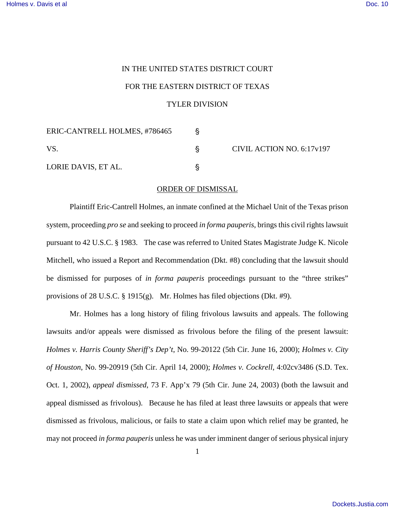## IN THE UNITED STATES DISTRICT COURT FOR THE EASTERN DISTRICT OF TEXAS

## TYLER DIVISION

| ERIC-CANTRELL HOLMES, #786465 |  | CIVIL ACTION NO. 6:17v197 |
|-------------------------------|--|---------------------------|
| <b>VS</b>                     |  |                           |
| LORIE DAVIS, ET AL.           |  |                           |

## ORDER OF DISMISSAL

Plaintiff Eric-Cantrell Holmes, an inmate confined at the Michael Unit of the Texas prison system, proceeding *pro se* and seeking to proceed *in forma pauperis*, brings this civil rights lawsuit pursuant to 42 U.S.C. § 1983. The case was referred to United States Magistrate Judge K. Nicole Mitchell, who issued a Report and Recommendation (Dkt. #8) concluding that the lawsuit should be dismissed for purposes of *in forma pauperis* proceedings pursuant to the "three strikes" provisions of 28 U.S.C. § 1915(g). Mr. Holmes has filed objections (Dkt. #9).

Mr. Holmes has a long history of filing frivolous lawsuits and appeals. The following lawsuits and/or appeals were dismissed as frivolous before the filing of the present lawsuit: *Holmes v. Harris County Sheriff's Dep't*, No. 99-20122 (5th Cir. June 16, 2000); *Holmes v. City of Houston*, No. 99-20919 (5th Cir. April 14, 2000); *Holmes v. Cockrell*, 4:02cv3486 (S.D. Tex. Oct. 1, 2002), *appeal dismissed*, 73 F. App'x 79 (5th Cir. June 24, 2003) (both the lawsuit and appeal dismissed as frivolous). Because he has filed at least three lawsuits or appeals that were dismissed as frivolous, malicious, or fails to state a claim upon which relief may be granted, he may not proceed *in forma pauperis* unless he was under imminent danger of serious physical injury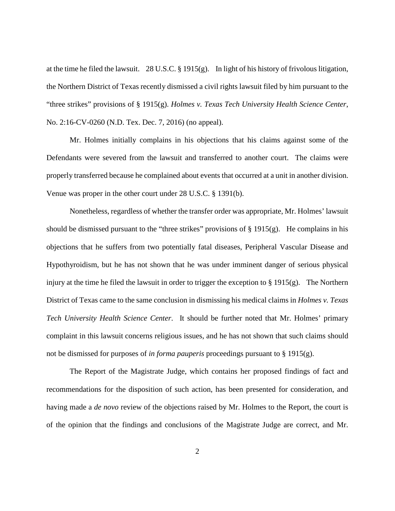at the time he filed the lawsuit. 28 U.S.C. § 1915(g). In light of his history of frivolous litigation, the Northern District of Texas recently dismissed a civil rights lawsuit filed by him pursuant to the "three strikes" provisions of § 1915(g). *Holmes v. Texas Tech University Health Science Center*, No. 2:16-CV-0260 (N.D. Tex. Dec. 7, 2016) (no appeal).

Mr. Holmes initially complains in his objections that his claims against some of the Defendants were severed from the lawsuit and transferred to another court. The claims were properly transferred because he complained about events that occurred at a unit in another division. Venue was proper in the other court under 28 U.S.C. § 1391(b).

Nonetheless, regardless of whether the transfer order was appropriate, Mr. Holmes' lawsuit should be dismissed pursuant to the "three strikes" provisions of  $\S$  1915(g). He complains in his objections that he suffers from two potentially fatal diseases, Peripheral Vascular Disease and Hypothyroidism, but he has not shown that he was under imminent danger of serious physical injury at the time he filed the lawsuit in order to trigger the exception to  $\S 1915(g)$ . The Northern District of Texas came to the same conclusion in dismissing his medical claims in *Holmes v. Texas Tech University Health Science Center*. It should be further noted that Mr. Holmes' primary complaint in this lawsuit concerns religious issues, and he has not shown that such claims should not be dismissed for purposes of *in forma pauperis* proceedings pursuant to § 1915(g).

The Report of the Magistrate Judge, which contains her proposed findings of fact and recommendations for the disposition of such action, has been presented for consideration, and having made a *de novo* review of the objections raised by Mr. Holmes to the Report, the court is of the opinion that the findings and conclusions of the Magistrate Judge are correct, and Mr.